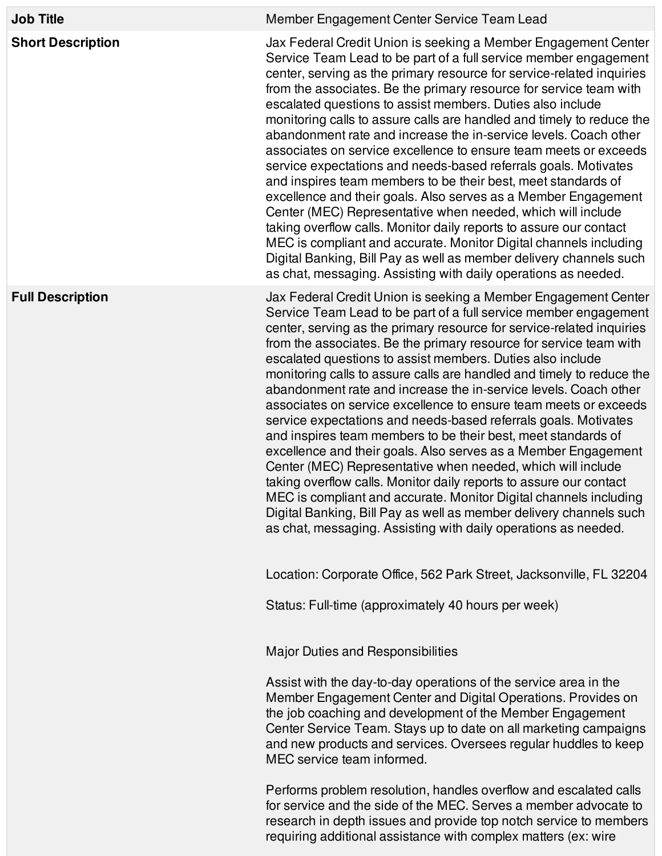| <b>Job Title</b>         | Member Engagement Center Service Team Lead                                                                                                                                                                                                                                                                                                                                                                                                                                                                                                                                                                                                                                                                                                                                                                                                                                                                                                                                                                                                                                                                               |
|--------------------------|--------------------------------------------------------------------------------------------------------------------------------------------------------------------------------------------------------------------------------------------------------------------------------------------------------------------------------------------------------------------------------------------------------------------------------------------------------------------------------------------------------------------------------------------------------------------------------------------------------------------------------------------------------------------------------------------------------------------------------------------------------------------------------------------------------------------------------------------------------------------------------------------------------------------------------------------------------------------------------------------------------------------------------------------------------------------------------------------------------------------------|
| <b>Short Description</b> | Jax Federal Credit Union is seeking a Member Engagement Center<br>Service Team Lead to be part of a full service member engagement<br>center, serving as the primary resource for service-related inquiries<br>from the associates. Be the primary resource for service team with<br>escalated questions to assist members. Duties also include<br>monitoring calls to assure calls are handled and timely to reduce the<br>abandonment rate and increase the in-service levels. Coach other<br>associates on service excellence to ensure team meets or exceeds<br>service expectations and needs-based referrals goals. Motivates<br>and inspires team members to be their best, meet standards of<br>excellence and their goals. Also serves as a Member Engagement<br>Center (MEC) Representative when needed, which will include<br>taking overflow calls. Monitor daily reports to assure our contact<br>MEC is compliant and accurate. Monitor Digital channels including<br>Digital Banking, Bill Pay as well as member delivery channels such<br>as chat, messaging. Assisting with daily operations as needed. |
| <b>Full Description</b>  | Jax Federal Credit Union is seeking a Member Engagement Center<br>Service Team Lead to be part of a full service member engagement<br>center, serving as the primary resource for service-related inquiries<br>from the associates. Be the primary resource for service team with<br>escalated questions to assist members. Duties also include<br>monitoring calls to assure calls are handled and timely to reduce the<br>abandonment rate and increase the in-service levels. Coach other<br>associates on service excellence to ensure team meets or exceeds<br>service expectations and needs-based referrals goals. Motivates<br>and inspires team members to be their best, meet standards of<br>excellence and their goals. Also serves as a Member Engagement<br>Center (MEC) Representative when needed, which will include<br>taking overflow calls. Monitor daily reports to assure our contact<br>MEC is compliant and accurate. Monitor Digital channels including<br>Digital Banking, Bill Pay as well as member delivery channels such<br>as chat, messaging. Assisting with daily operations as needed. |
|                          | Location: Corporate Office, 562 Park Street, Jacksonville, FL 32204                                                                                                                                                                                                                                                                                                                                                                                                                                                                                                                                                                                                                                                                                                                                                                                                                                                                                                                                                                                                                                                      |
|                          | Status: Full-time (approximately 40 hours per week)                                                                                                                                                                                                                                                                                                                                                                                                                                                                                                                                                                                                                                                                                                                                                                                                                                                                                                                                                                                                                                                                      |
|                          | Major Duties and Responsibilities                                                                                                                                                                                                                                                                                                                                                                                                                                                                                                                                                                                                                                                                                                                                                                                                                                                                                                                                                                                                                                                                                        |
|                          | Assist with the day-to-day operations of the service area in the<br>Member Engagement Center and Digital Operations. Provides on<br>the job coaching and development of the Member Engagement<br>Center Service Team. Stays up to date on all marketing campaigns<br>and new products and services. Oversees regular huddles to keep<br>MEC service team informed.                                                                                                                                                                                                                                                                                                                                                                                                                                                                                                                                                                                                                                                                                                                                                       |
|                          | Performs problem resolution, handles overflow and escalated calls<br>for service and the side of the MEC. Serves a member advocate to<br>research in depth issues and provide top notch service to members<br>requiring additional assistance with complex matters (ex: wire                                                                                                                                                                                                                                                                                                                                                                                                                                                                                                                                                                                                                                                                                                                                                                                                                                             |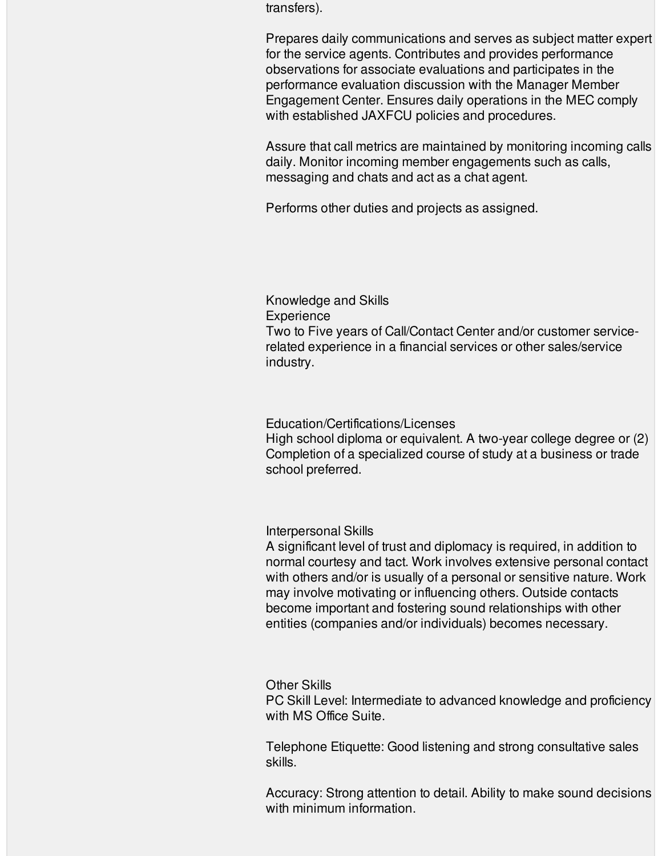transfers).

Prepares daily communications and serves as subject matter expert for the service agents. Contributes and provides performance observations for associate evaluations and participates in the performance evaluation discussion with the Manager Member Engagement Center. Ensures daily operations in the MEC comply with established JAXFCU policies and procedures.

Assure that call metrics are maintained by monitoring incoming calls daily. Monitor incoming member engagements such as calls, messaging and chats and act as a chat agent.

Performs other duties and projects as assigned.

Knowledge and Skills **Experience** Two to Five years of Call/Contact Center and/or customer servicerelated experience in a financial services or other sales/service industry.

## Education/Certifications/Licenses

High school diploma or equivalent. A two-year college degree or (2) Completion of a specialized course of study at a business or trade school preferred.

Interpersonal Skills

A significant level of trust and diplomacy is required, in addition to normal courtesy and tact. Work involves extensive personal contact with others and/or is usually of a personal or sensitive nature. Work may involve motivating or influencing others. Outside contacts become important and fostering sound relationships with other entities (companies and/or individuals) becomes necessary.

## Other Skills

PC Skill Level: Intermediate to advanced knowledge and proficiency with MS Office Suite.

Telephone Etiquette: Good listening and strong consultative sales skills.

Accuracy: Strong attention to detail. Ability to make sound decisions with minimum information.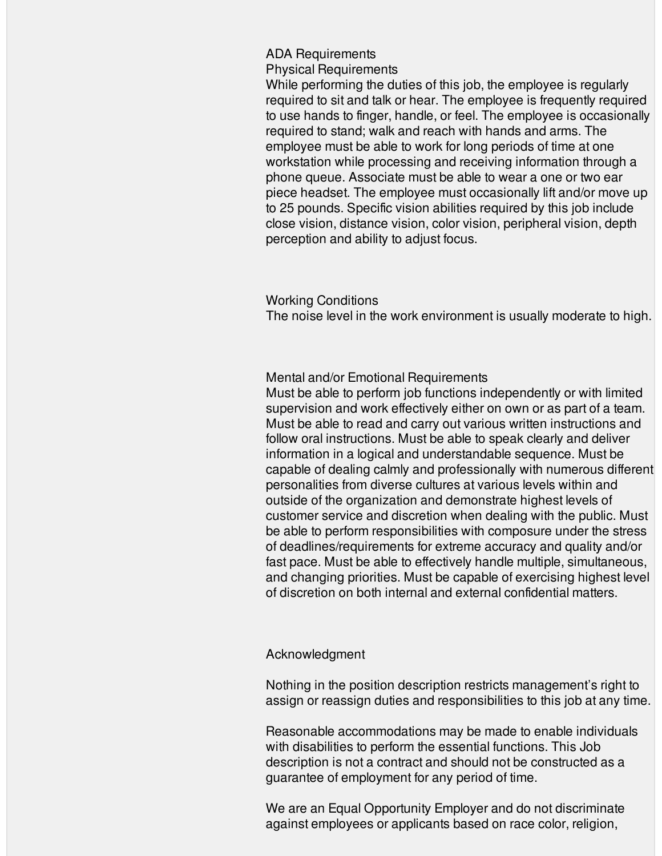ADA Requirements

Physical Requirements

While performing the duties of this job, the employee is regularly required to sit and talk or hear. The employee is frequently required to use hands to finger, handle, or feel. The employee is occasionally required to stand; walk and reach with hands and arms. The employee must be able to work for long periods of time at one workstation while processing and receiving information through a phone queue. Associate must be able to wear a one or two ear piece headset. The employee must occasionally lift and/or move up to 25 pounds. Specific vision abilities required by this job include close vision, distance vision, color vision, peripheral vision, depth perception and ability to adjust focus.

Working Conditions

The noise level in the work environment is usually moderate to high.

Mental and/or Emotional Requirements

Must be able to perform job functions independently or with limited supervision and work effectively either on own or as part of a team. Must be able to read and carry out various written instructions and follow oral instructions. Must be able to speak clearly and deliver information in a logical and understandable sequence. Must be capable of dealing calmly and professionally with numerous different personalities from diverse cultures at various levels within and outside of the organization and demonstrate highest levels of customer service and discretion when dealing with the public. Must be able to perform responsibilities with composure under the stress of deadlines/requirements for extreme accuracy and quality and/or fast pace. Must be able to effectively handle multiple, simultaneous, and changing priorities. Must be capable of exercising highest level of discretion on both internal and external confidential matters.

Acknowledgment

Nothing in the position description restricts management's right to assign or reassign duties and responsibilities to this job at any time.

Reasonable accommodations may be made to enable individuals with disabilities to perform the essential functions. This Job description is not a contract and should not be constructed as a guarantee of employment for any period of time.

We are an Equal Opportunity Employer and do not discriminate against employees or applicants based on race color, religion,